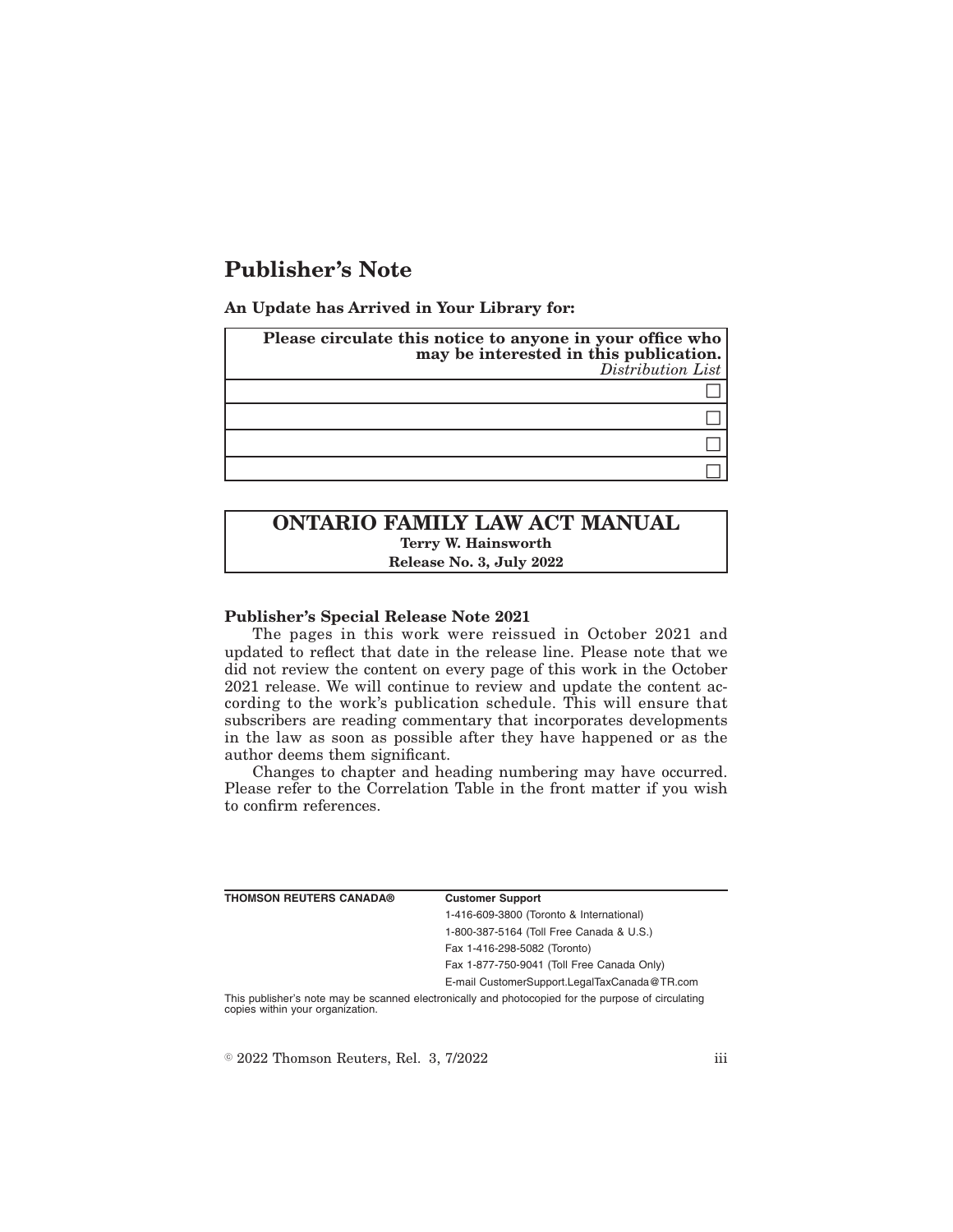# **Publisher's Note**

**An Update has Arrived in Your Library for:**

| Please circulate this notice to anyone in your office who<br>may be interested in this publication.<br>Distribution List |
|--------------------------------------------------------------------------------------------------------------------------|
|                                                                                                                          |
|                                                                                                                          |
|                                                                                                                          |
|                                                                                                                          |

## **ONTARIO FAMILY LAW ACT MANUAL Terry W. Hainsworth Release No. 3, July 2022**

#### **Publisher's Special Release Note 2021**

The pages in this work were reissued in October 2021 and updated to reflect that date in the release line. Please note that we did not review the content on every page of this work in the October 2021 release. We will continue to review and update the content according to the work's publication schedule. This will ensure that subscribers are reading commentary that incorporates developments in the law as soon as possible after they have happened or as the author deems them significant.

Changes to chapter and heading numbering may have occurred. Please refer to the Correlation Table in the front matter if you wish to confirm references.

| <b>THOMSON REUTERS CANADA®</b>   | <b>Customer Support</b>                                                                            |
|----------------------------------|----------------------------------------------------------------------------------------------------|
|                                  | 1-416-609-3800 (Toronto & International)                                                           |
|                                  | 1-800-387-5164 (Toll Free Canada & U.S.)                                                           |
|                                  | Fax 1-416-298-5082 (Toronto)                                                                       |
|                                  | Fax 1-877-750-9041 (Toll Free Canada Only)                                                         |
|                                  | E-mail CustomerSupport.LegalTaxCanada@TR.com                                                       |
| copies within your organization. | This publisher's note may be scanned electronically and photocopied for the purpose of circulating |

 $\textdegree$  2022 Thomson Reuters, Rel. 3, 7/2022 iii